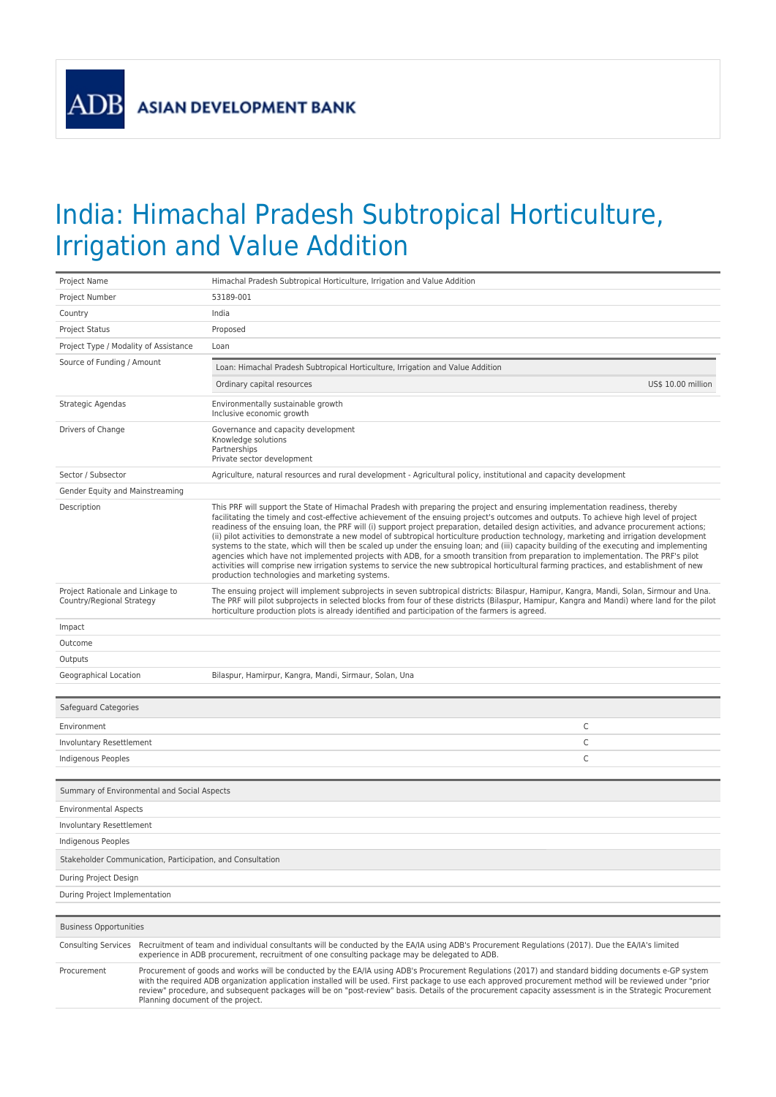**ADB** 

## India: Himachal Pradesh Subtropical Horticulture, Irrigation and Value Addition

| Project Name                                                  |                                                                                                                                                                                                                                                                                                                                                                                                                                                                                                                     | Himachal Pradesh Subtropical Horticulture, Irrigation and Value Addition                                                                                                                                                                                                                                                                                                                                                                                                                                                                                                                                                                                                                                                                                                                                                                                                                                                                                                                                                                         |  |  |
|---------------------------------------------------------------|---------------------------------------------------------------------------------------------------------------------------------------------------------------------------------------------------------------------------------------------------------------------------------------------------------------------------------------------------------------------------------------------------------------------------------------------------------------------------------------------------------------------|--------------------------------------------------------------------------------------------------------------------------------------------------------------------------------------------------------------------------------------------------------------------------------------------------------------------------------------------------------------------------------------------------------------------------------------------------------------------------------------------------------------------------------------------------------------------------------------------------------------------------------------------------------------------------------------------------------------------------------------------------------------------------------------------------------------------------------------------------------------------------------------------------------------------------------------------------------------------------------------------------------------------------------------------------|--|--|
| Project Number                                                |                                                                                                                                                                                                                                                                                                                                                                                                                                                                                                                     | 53189-001                                                                                                                                                                                                                                                                                                                                                                                                                                                                                                                                                                                                                                                                                                                                                                                                                                                                                                                                                                                                                                        |  |  |
| Country                                                       |                                                                                                                                                                                                                                                                                                                                                                                                                                                                                                                     | India                                                                                                                                                                                                                                                                                                                                                                                                                                                                                                                                                                                                                                                                                                                                                                                                                                                                                                                                                                                                                                            |  |  |
| <b>Project Status</b>                                         |                                                                                                                                                                                                                                                                                                                                                                                                                                                                                                                     | Proposed                                                                                                                                                                                                                                                                                                                                                                                                                                                                                                                                                                                                                                                                                                                                                                                                                                                                                                                                                                                                                                         |  |  |
| Project Type / Modality of Assistance                         |                                                                                                                                                                                                                                                                                                                                                                                                                                                                                                                     | Loan                                                                                                                                                                                                                                                                                                                                                                                                                                                                                                                                                                                                                                                                                                                                                                                                                                                                                                                                                                                                                                             |  |  |
| Source of Funding / Amount                                    |                                                                                                                                                                                                                                                                                                                                                                                                                                                                                                                     | Loan: Himachal Pradesh Subtropical Horticulture, Irrigation and Value Addition                                                                                                                                                                                                                                                                                                                                                                                                                                                                                                                                                                                                                                                                                                                                                                                                                                                                                                                                                                   |  |  |
|                                                               |                                                                                                                                                                                                                                                                                                                                                                                                                                                                                                                     | US\$ 10.00 million<br>Ordinary capital resources                                                                                                                                                                                                                                                                                                                                                                                                                                                                                                                                                                                                                                                                                                                                                                                                                                                                                                                                                                                                 |  |  |
| Strategic Agendas                                             |                                                                                                                                                                                                                                                                                                                                                                                                                                                                                                                     | Environmentally sustainable growth<br>Inclusive economic growth                                                                                                                                                                                                                                                                                                                                                                                                                                                                                                                                                                                                                                                                                                                                                                                                                                                                                                                                                                                  |  |  |
| Drivers of Change                                             |                                                                                                                                                                                                                                                                                                                                                                                                                                                                                                                     | Governance and capacity development<br>Knowledge solutions<br>Partnerships<br>Private sector development                                                                                                                                                                                                                                                                                                                                                                                                                                                                                                                                                                                                                                                                                                                                                                                                                                                                                                                                         |  |  |
| Sector / Subsector                                            |                                                                                                                                                                                                                                                                                                                                                                                                                                                                                                                     | Agriculture, natural resources and rural development - Agricultural policy, institutional and capacity development                                                                                                                                                                                                                                                                                                                                                                                                                                                                                                                                                                                                                                                                                                                                                                                                                                                                                                                               |  |  |
| Gender Equity and Mainstreaming                               |                                                                                                                                                                                                                                                                                                                                                                                                                                                                                                                     |                                                                                                                                                                                                                                                                                                                                                                                                                                                                                                                                                                                                                                                                                                                                                                                                                                                                                                                                                                                                                                                  |  |  |
| Description                                                   |                                                                                                                                                                                                                                                                                                                                                                                                                                                                                                                     | This PRF will support the State of Himachal Pradesh with preparing the project and ensuring implementation readiness, thereby<br>facilitating the timely and cost-effective achievement of the ensuing project's outcomes and outputs. To achieve high level of project<br>readiness of the ensuing loan, the PRF will (i) support project preparation, detailed design activities, and advance procurement actions;<br>(ii) pilot activities to demonstrate a new model of subtropical horticulture production technology, marketing and irrigation development<br>systems to the state, which will then be scaled up under the ensuing loan; and (iii) capacity building of the executing and implementing<br>agencies which have not implemented projects with ADB, for a smooth transition from preparation to implementation. The PRF's pilot<br>activities will comprise new irrigation systems to service the new subtropical horticultural farming practices, and establishment of new<br>production technologies and marketing systems. |  |  |
| Project Rationale and Linkage to<br>Country/Regional Strategy |                                                                                                                                                                                                                                                                                                                                                                                                                                                                                                                     | The ensuing project will implement subprojects in seven subtropical districts: Bilaspur, Hamipur, Kangra, Mandi, Solan, Sirmour and Una.<br>The PRF will pilot subprojects in selected blocks from four of these districts (Bilaspur, Hamipur, Kangra and Mandi) where land for the pilot<br>horticulture production plots is already identified and participation of the farmers is agreed.                                                                                                                                                                                                                                                                                                                                                                                                                                                                                                                                                                                                                                                     |  |  |
| Impact                                                        |                                                                                                                                                                                                                                                                                                                                                                                                                                                                                                                     |                                                                                                                                                                                                                                                                                                                                                                                                                                                                                                                                                                                                                                                                                                                                                                                                                                                                                                                                                                                                                                                  |  |  |
| Outcome                                                       |                                                                                                                                                                                                                                                                                                                                                                                                                                                                                                                     |                                                                                                                                                                                                                                                                                                                                                                                                                                                                                                                                                                                                                                                                                                                                                                                                                                                                                                                                                                                                                                                  |  |  |
| Outputs                                                       |                                                                                                                                                                                                                                                                                                                                                                                                                                                                                                                     |                                                                                                                                                                                                                                                                                                                                                                                                                                                                                                                                                                                                                                                                                                                                                                                                                                                                                                                                                                                                                                                  |  |  |
| Geographical Location                                         |                                                                                                                                                                                                                                                                                                                                                                                                                                                                                                                     | Bilaspur, Hamirpur, Kangra, Mandi, Sirmaur, Solan, Una                                                                                                                                                                                                                                                                                                                                                                                                                                                                                                                                                                                                                                                                                                                                                                                                                                                                                                                                                                                           |  |  |
| Safeguard Categories                                          |                                                                                                                                                                                                                                                                                                                                                                                                                                                                                                                     |                                                                                                                                                                                                                                                                                                                                                                                                                                                                                                                                                                                                                                                                                                                                                                                                                                                                                                                                                                                                                                                  |  |  |
|                                                               |                                                                                                                                                                                                                                                                                                                                                                                                                                                                                                                     |                                                                                                                                                                                                                                                                                                                                                                                                                                                                                                                                                                                                                                                                                                                                                                                                                                                                                                                                                                                                                                                  |  |  |
| Environment                                                   |                                                                                                                                                                                                                                                                                                                                                                                                                                                                                                                     | C                                                                                                                                                                                                                                                                                                                                                                                                                                                                                                                                                                                                                                                                                                                                                                                                                                                                                                                                                                                                                                                |  |  |
| Involuntary Resettlement                                      |                                                                                                                                                                                                                                                                                                                                                                                                                                                                                                                     | C                                                                                                                                                                                                                                                                                                                                                                                                                                                                                                                                                                                                                                                                                                                                                                                                                                                                                                                                                                                                                                                |  |  |
| C<br>Indigenous Peoples                                       |                                                                                                                                                                                                                                                                                                                                                                                                                                                                                                                     |                                                                                                                                                                                                                                                                                                                                                                                                                                                                                                                                                                                                                                                                                                                                                                                                                                                                                                                                                                                                                                                  |  |  |
| Summary of Environmental and Social Aspects                   |                                                                                                                                                                                                                                                                                                                                                                                                                                                                                                                     |                                                                                                                                                                                                                                                                                                                                                                                                                                                                                                                                                                                                                                                                                                                                                                                                                                                                                                                                                                                                                                                  |  |  |
| <b>Environmental Aspects</b>                                  |                                                                                                                                                                                                                                                                                                                                                                                                                                                                                                                     |                                                                                                                                                                                                                                                                                                                                                                                                                                                                                                                                                                                                                                                                                                                                                                                                                                                                                                                                                                                                                                                  |  |  |
| Involuntary Resettlement                                      |                                                                                                                                                                                                                                                                                                                                                                                                                                                                                                                     |                                                                                                                                                                                                                                                                                                                                                                                                                                                                                                                                                                                                                                                                                                                                                                                                                                                                                                                                                                                                                                                  |  |  |
| <b>Indigenous Peoples</b>                                     |                                                                                                                                                                                                                                                                                                                                                                                                                                                                                                                     |                                                                                                                                                                                                                                                                                                                                                                                                                                                                                                                                                                                                                                                                                                                                                                                                                                                                                                                                                                                                                                                  |  |  |
| Stakeholder Communication, Participation, and Consultation    |                                                                                                                                                                                                                                                                                                                                                                                                                                                                                                                     |                                                                                                                                                                                                                                                                                                                                                                                                                                                                                                                                                                                                                                                                                                                                                                                                                                                                                                                                                                                                                                                  |  |  |
| During Project Design                                         |                                                                                                                                                                                                                                                                                                                                                                                                                                                                                                                     |                                                                                                                                                                                                                                                                                                                                                                                                                                                                                                                                                                                                                                                                                                                                                                                                                                                                                                                                                                                                                                                  |  |  |
| During Project Implementation                                 |                                                                                                                                                                                                                                                                                                                                                                                                                                                                                                                     |                                                                                                                                                                                                                                                                                                                                                                                                                                                                                                                                                                                                                                                                                                                                                                                                                                                                                                                                                                                                                                                  |  |  |
|                                                               |                                                                                                                                                                                                                                                                                                                                                                                                                                                                                                                     |                                                                                                                                                                                                                                                                                                                                                                                                                                                                                                                                                                                                                                                                                                                                                                                                                                                                                                                                                                                                                                                  |  |  |
| <b>Business Opportunities</b>                                 |                                                                                                                                                                                                                                                                                                                                                                                                                                                                                                                     |                                                                                                                                                                                                                                                                                                                                                                                                                                                                                                                                                                                                                                                                                                                                                                                                                                                                                                                                                                                                                                                  |  |  |
|                                                               | Consulting Services Recruitment of team and individual consultants will be conducted by the EA/IA using ADB's Procurement Regulations (2017). Due the EA/IA's limited<br>experience in ADB procurement, recruitment of one consulting package may be delegated to ADB.                                                                                                                                                                                                                                              |                                                                                                                                                                                                                                                                                                                                                                                                                                                                                                                                                                                                                                                                                                                                                                                                                                                                                                                                                                                                                                                  |  |  |
| Procurement                                                   | Procurement of goods and works will be conducted by the EA/IA using ADB's Procurement Regulations (2017) and standard bidding documents e-GP system<br>with the required ADB organization application installed will be used. First package to use each approved procurement method will be reviewed under "prior<br>review" procedure, and subsequent packages will be on "post-review" basis. Details of the procurement capacity assessment is in the Strategic Procurement<br>Planning document of the project. |                                                                                                                                                                                                                                                                                                                                                                                                                                                                                                                                                                                                                                                                                                                                                                                                                                                                                                                                                                                                                                                  |  |  |